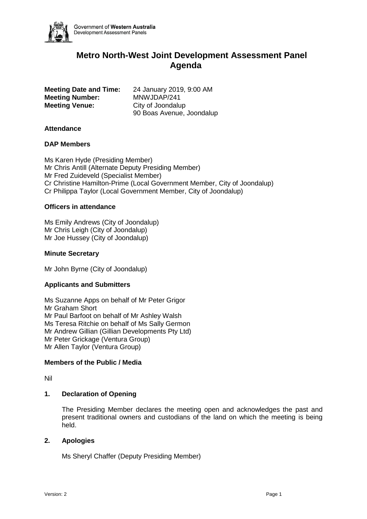

# **Metro North-West Joint Development Assessment Panel Agenda**

**Meeting Number:** MNWJDAP/241 **Meeting Venue:** City of Joondalup

**Meeting Date and Time:** 24 January 2019, 9:00 AM 90 Boas Avenue, Joondalup

## **Attendance**

## **DAP Members**

Ms Karen Hyde (Presiding Member) Mr Chris Antill (Alternate Deputy Presiding Member) Mr Fred Zuideveld (Specialist Member) Cr Christine Hamilton-Prime (Local Government Member, City of Joondalup) Cr Philippa Taylor (Local Government Member, City of Joondalup)

## **Officers in attendance**

Ms Emily Andrews (City of Joondalup) Mr Chris Leigh (City of Joondalup) Mr Joe Hussey (City of Joondalup)

## **Minute Secretary**

Mr John Byrne (City of Joondalup)

# **Applicants and Submitters**

Ms Suzanne Apps on behalf of Mr Peter Grigor Mr Graham Short Mr Paul Barfoot on behalf of Mr Ashley Walsh Ms Teresa Ritchie on behalf of Ms Sally Germon Mr Andrew Gillian (Gillian Developments Pty Ltd) Mr Peter Grickage (Ventura Group) Mr Allen Taylor (Ventura Group)

#### **Members of the Public / Media**

Nil

#### **1. Declaration of Opening**

The Presiding Member declares the meeting open and acknowledges the past and present traditional owners and custodians of the land on which the meeting is being held.

#### **2. Apologies**

Ms Sheryl Chaffer (Deputy Presiding Member)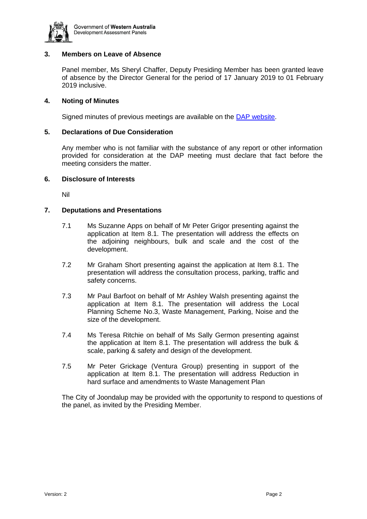

# **3. Members on Leave of Absence**

Panel member, Ms Sheryl Chaffer, Deputy Presiding Member has been granted leave of absence by the Director General for the period of 17 January 2019 to 01 February 2019 inclusive.

# **4. Noting of Minutes**

Signed minutes of previous meetings are available on the [DAP website.](https://www.dplh.wa.gov.au/about/development-assessment-panels/daps-agendas-and-minutes)

## **5. Declarations of Due Consideration**

Any member who is not familiar with the substance of any report or other information provided for consideration at the DAP meeting must declare that fact before the meeting considers the matter.

#### **6. Disclosure of Interests**

Nil

## **7. Deputations and Presentations**

- 7.1 Ms Suzanne Apps on behalf of Mr Peter Grigor presenting against the application at Item 8.1. The presentation will address the effects on the adjoining neighbours, bulk and scale and the cost of the development.
- 7.2 Mr Graham Short presenting against the application at Item 8.1. The presentation will address the consultation process, parking, traffic and safety concerns.
- 7.3 Mr Paul Barfoot on behalf of Mr Ashley Walsh presenting against the application at Item 8.1. The presentation will address the Local Planning Scheme No.3, Waste Management, Parking, Noise and the size of the development.
- 7.4 Ms Teresa Ritchie on behalf of Ms Sally Germon presenting against the application at Item 8.1. The presentation will address the bulk & scale, parking & safety and design of the development.
- 7.5 Mr Peter Grickage (Ventura Group) presenting in support of the application at Item 8.1. The presentation will address Reduction in hard surface and amendments to Waste Management Plan

The City of Joondalup may be provided with the opportunity to respond to questions of the panel, as invited by the Presiding Member.